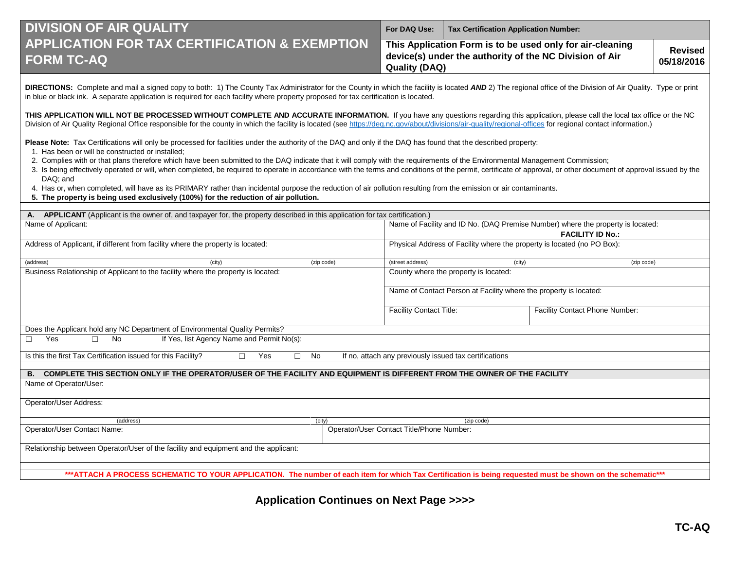# **DIVISION OF AIR QUALITY APPLICATION FOR TAX CERTIFICATION & EXEMPTION FORM TC-AQ**

**For DAQ Use: Tax Certification Application Number:**

| This Application Form is to be used only for air-cleaning<br>device(s) under the authority of the NC Division of Air<br>Quality (DAQ) | <b>Revised</b><br>05/18/2016 |
|---------------------------------------------------------------------------------------------------------------------------------------|------------------------------|
|---------------------------------------------------------------------------------------------------------------------------------------|------------------------------|

**DIRECTIONS:** Complete and mail a signed copy to both: 1) The County Tax Administrator for the County in which the facility is located *AND* 2) The regional office of the Division of Air Quality. Type or print in blue or black ink. A separate application is required for each facility where property proposed for tax certification is located.

THIS APPLICATION WILL NOT BE PROCESSED WITHOUT COMPLETE AND ACCURATE INFORMATION. If you have any questions regarding this application, please call the local tax office or the NC Division of Air Quality Regional Office responsible for the county in which the facility is located (see<https://deq.nc.gov/about/divisions/air-quality/regional-offices> for regional contact information.)

**Please Note:** Tax Certifications will only be processed for facilities under the authority of the DAQ and only if the DAQ has found that the described property:

- 1. Has been or will be constructed or installed;
- 2. Complies with or that plans therefore which have been submitted to the DAQ indicate that it will comply with the requirements of the Environmental Management Commission;
- 3. Is being effectively operated or will, when completed, be required to operate in accordance with the terms and conditions of the permit, certificate of approval, or other document of approval issued by the DAQ; and
- 4. Has or, when completed, will have as its PRIMARY rather than incidental purpose the reduction of air pollution resulting from the emission or air contaminants.
- **5. The property is being used exclusively (100%) for the reduction of air pollution.**

| <b>APPLICANT</b> (Applicant is the owner of, and taxpayer for, the property described in this application for tax certification.)<br>А. |                                                                                                                                                             |  |  |  |  |  |
|-----------------------------------------------------------------------------------------------------------------------------------------|-------------------------------------------------------------------------------------------------------------------------------------------------------------|--|--|--|--|--|
| Name of Applicant:                                                                                                                      | Name of Facility and ID No. (DAQ Premise Number) where the property is located:                                                                             |  |  |  |  |  |
|                                                                                                                                         | <b>FACILITY ID No.:</b>                                                                                                                                     |  |  |  |  |  |
| Address of Applicant, if different from facility where the property is located:                                                         | Physical Address of Facility where the property is located (no PO Box):                                                                                     |  |  |  |  |  |
|                                                                                                                                         |                                                                                                                                                             |  |  |  |  |  |
| (address)<br>(city)<br>(zip code)                                                                                                       | (street address)<br>(city)<br>(zip code)                                                                                                                    |  |  |  |  |  |
| Business Relationship of Applicant to the facility where the property is located:                                                       | County where the property is located:                                                                                                                       |  |  |  |  |  |
|                                                                                                                                         |                                                                                                                                                             |  |  |  |  |  |
|                                                                                                                                         |                                                                                                                                                             |  |  |  |  |  |
|                                                                                                                                         | Name of Contact Person at Facility where the property is located:                                                                                           |  |  |  |  |  |
|                                                                                                                                         |                                                                                                                                                             |  |  |  |  |  |
|                                                                                                                                         | <b>Facility Contact Title:</b><br>Facility Contact Phone Number:                                                                                            |  |  |  |  |  |
|                                                                                                                                         |                                                                                                                                                             |  |  |  |  |  |
| Does the Applicant hold any NC Department of Environmental Quality Permits?                                                             |                                                                                                                                                             |  |  |  |  |  |
| If Yes, list Agency Name and Permit No(s):<br>Yes<br>No<br>П                                                                            |                                                                                                                                                             |  |  |  |  |  |
|                                                                                                                                         |                                                                                                                                                             |  |  |  |  |  |
| Is this the first Tax Certification issued for this Facility?<br>Yes<br>No<br>П                                                         | If no, attach any previously issued tax certifications                                                                                                      |  |  |  |  |  |
|                                                                                                                                         |                                                                                                                                                             |  |  |  |  |  |
| COMPLETE THIS SECTION ONLY IF THE OPERATOR/USER OF THE FACILITY AND EQUIPMENT IS DIFFERENT FROM THE OWNER OF THE FACILITY<br><b>B.</b>  |                                                                                                                                                             |  |  |  |  |  |
| Name of Operator/User:                                                                                                                  |                                                                                                                                                             |  |  |  |  |  |
|                                                                                                                                         |                                                                                                                                                             |  |  |  |  |  |
| Operator/User Address:                                                                                                                  |                                                                                                                                                             |  |  |  |  |  |
|                                                                                                                                         |                                                                                                                                                             |  |  |  |  |  |
| (address)<br>(city)                                                                                                                     | (zip code)                                                                                                                                                  |  |  |  |  |  |
| Operator/User Contact Name:                                                                                                             | Operator/User Contact Title/Phone Number:                                                                                                                   |  |  |  |  |  |
|                                                                                                                                         |                                                                                                                                                             |  |  |  |  |  |
| Relationship between Operator/User of the facility and equipment and the applicant:                                                     |                                                                                                                                                             |  |  |  |  |  |
|                                                                                                                                         |                                                                                                                                                             |  |  |  |  |  |
|                                                                                                                                         |                                                                                                                                                             |  |  |  |  |  |
|                                                                                                                                         | ***ATTACH A PROCESS SCHEMATIC TO YOUR APPLICATION. The number of each item for which Tax Certification is being requested must be shown on the schematic*** |  |  |  |  |  |
|                                                                                                                                         |                                                                                                                                                             |  |  |  |  |  |

**Application Continues on Next Page >>>>**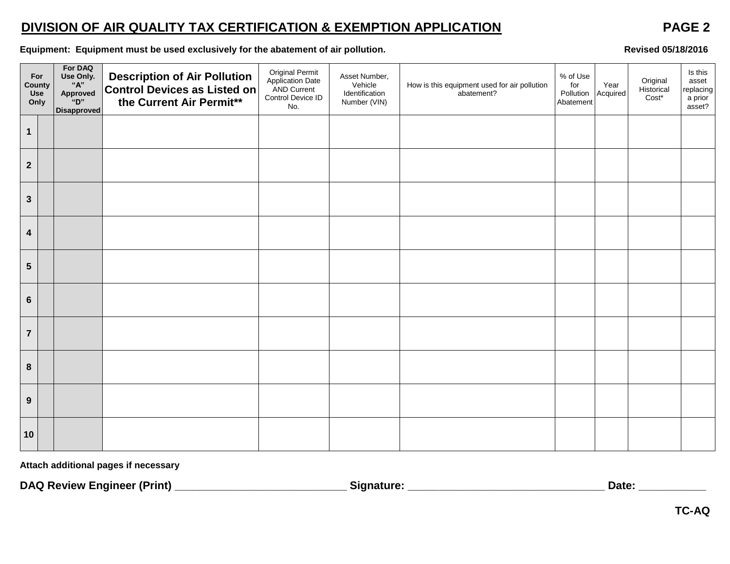## **DIVISION OF AIR QUALITY TAX CERTIFICATION & EXEMPTION APPLICATION PAGE 2**

Equipment: Equipment must be used exclusively for the abatement of air pollution. **Example 2018** Revised 05/18/2016

|                  | For<br>County<br>Use<br>Only | For DAQ<br>Use Only.<br>$\lq\lq\mathbf{A}^n$<br>Approved<br>"D"<br><b>Disapproved</b> | <b>Description of Air Pollution</b><br>Control Devices as Listed on<br>the Current Air Permit** | <b>Original Permit</b><br>Application Date<br>AND Current<br>Control Device ID<br>No. | Asset Number,<br>Vehicle<br>Identification<br>Number (VIN) | How is this equipment used for air pollution<br>abatement? | % of Use<br>for<br>Pollution<br>Abatement | Year<br>Acquired | Original<br>Historical<br>$Cost^*$ | Is this<br>asset<br>replacing<br>a prior<br>asset? |
|------------------|------------------------------|---------------------------------------------------------------------------------------|-------------------------------------------------------------------------------------------------|---------------------------------------------------------------------------------------|------------------------------------------------------------|------------------------------------------------------------|-------------------------------------------|------------------|------------------------------------|----------------------------------------------------|
| $\mathbf{1}$     |                              |                                                                                       |                                                                                                 |                                                                                       |                                                            |                                                            |                                           |                  |                                    |                                                    |
| $\overline{2}$   |                              |                                                                                       |                                                                                                 |                                                                                       |                                                            |                                                            |                                           |                  |                                    |                                                    |
| $\mathbf{3}$     |                              |                                                                                       |                                                                                                 |                                                                                       |                                                            |                                                            |                                           |                  |                                    |                                                    |
| $\boldsymbol{4}$ |                              |                                                                                       |                                                                                                 |                                                                                       |                                                            |                                                            |                                           |                  |                                    |                                                    |
| $\sqrt{5}$       |                              |                                                                                       |                                                                                                 |                                                                                       |                                                            |                                                            |                                           |                  |                                    |                                                    |
| $6\phantom{1}6$  |                              |                                                                                       |                                                                                                 |                                                                                       |                                                            |                                                            |                                           |                  |                                    |                                                    |
| $\overline{7}$   |                              |                                                                                       |                                                                                                 |                                                                                       |                                                            |                                                            |                                           |                  |                                    |                                                    |
| 8                |                              |                                                                                       |                                                                                                 |                                                                                       |                                                            |                                                            |                                           |                  |                                    |                                                    |
| 9                |                              |                                                                                       |                                                                                                 |                                                                                       |                                                            |                                                            |                                           |                  |                                    |                                                    |
| 10               |                              |                                                                                       |                                                                                                 |                                                                                       |                                                            |                                                            |                                           |                  |                                    |                                                    |

**Attach additional pages if necessary**

**DAQ Review Engineer (Print) \_\_\_\_\_\_\_\_\_\_\_\_\_\_\_\_\_\_\_\_\_\_\_\_\_\_\_\_ Signature: \_\_\_\_\_\_\_\_\_\_\_\_\_\_\_\_\_\_\_\_\_\_\_\_\_\_\_\_\_\_\_\_ Date: \_\_\_\_\_\_\_\_\_\_\_**